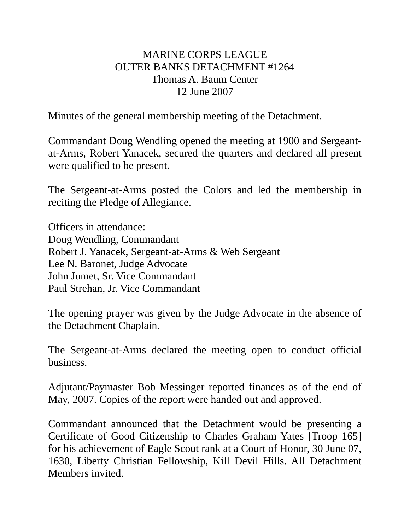## MARINE CORPS LEAGUE OUTER BANKS DETACHMENT #1264 Thomas A. Baum Center 12 June 2007

Minutes of the general membership meeting of the Detachment.

Commandant Doug Wendling opened the meeting at 1900 and Sergeantat-Arms, Robert Yanacek, secured the quarters and declared all present were qualified to be present.

The Sergeant-at-Arms posted the Colors and led the membership in reciting the Pledge of Allegiance.

Officers in attendance: Doug Wendling, Commandant Robert J. Yanacek, Sergeant-at-Arms & Web Sergeant Lee N. Baronet, Judge Advocate John Jumet, Sr. Vice Commandant Paul Strehan, Jr. Vice Commandant

The opening prayer was given by the Judge Advocate in the absence of the Detachment Chaplain.

The Sergeant-at-Arms declared the meeting open to conduct official business.

Adjutant/Paymaster Bob Messinger reported finances as of the end of May, 2007. Copies of the report were handed out and approved.

Commandant announced that the Detachment would be presenting a Certificate of Good Citizenship to Charles Graham Yates [Troop 165] for his achievement of Eagle Scout rank at a Court of Honor, 30 June 07, 1630, Liberty Christian Fellowship, Kill Devil Hills. All Detachment Members invited.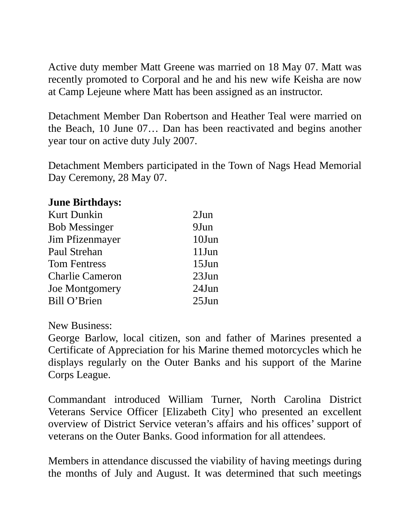Active duty member Matt Greene was married on 18 May 07. Matt was recently promoted to Corporal and he and his new wife Keisha are now at Camp Lejeune where Matt has been assigned as an instructor.

Detachment Member Dan Robertson and Heather Teal were married on the Beach, 10 June 07… Dan has been reactivated and begins another year tour on active duty July 2007.

Detachment Members participated in the Town of Nags Head Memorial Day Ceremony, 28 May 07.

## **June Birthdays:**

| <b>Kurt Dunkin</b>     | $2$ Jun  |
|------------------------|----------|
| <b>Bob Messinger</b>   | 9Jun     |
| Jim Pfizenmayer        | 10Jun    |
| Paul Strehan           | 11Jun    |
| <b>Tom Fentress</b>    | $15$ Jun |
| <b>Charlie Cameron</b> | $23$ Jun |
| Joe Montgomery         | 24Jun    |
| Bill O'Brien           | $25$ Jun |

New Business:

George Barlow, local citizen, son and father of Marines presented a Certificate of Appreciation for his Marine themed motorcycles which he displays regularly on the Outer Banks and his support of the Marine Corps League.

Commandant introduced William Turner, North Carolina District Veterans Service Officer [Elizabeth City] who presented an excellent overview of District Service veteran's affairs and his offices' support of veterans on the Outer Banks. Good information for all attendees.

Members in attendance discussed the viability of having meetings during the months of July and August. It was determined that such meetings